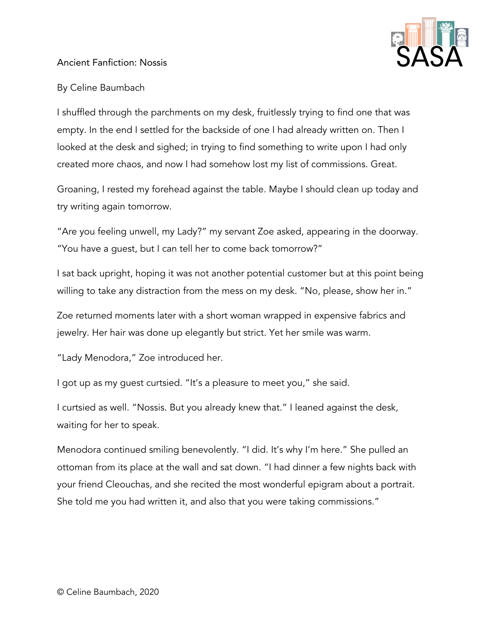

## Ancient Fanfiction: Nossis

## By Celine Baumbach

I shuffled through the parchments on my desk, fruitlessly trying to find one that was empty. In the end I settled for the backside of one I had already written on. Then I looked at the desk and sighed; in trying to find something to write upon I had only created more chaos, and now I had somehow lost my list of commissions. Great.

Groaning, I rested my forehead against the table. Maybe I should clean up today and try writing again tomorrow.

"Are you feeling unwell, my Lady?" my servant Zoe asked, appearing in the doorway. "You have a guest, but I can tell her to come back tomorrow?"

I sat back upright, hoping it was not another potential customer but at this point being willing to take any distraction from the mess on my desk. "No, please, show her in."

Zoe returned moments later with a short woman wrapped in expensive fabrics and jewelry. Her hair was done up elegantly but strict. Yet her smile was warm.

"Lady Menodora," Zoe introduced her.

I got up as my guest curtsied. "It's a pleasure to meet you," she said.

I curtsied as well. "Nossis. But you already knew that." I leaned against the desk, waiting for her to speak.

Menodora continued smiling benevolently. "I did. It's why I'm here." She pulled an ottoman from its place at the wall and sat down. "I had dinner a few nights back with your friend Cleouchas, and she recited the most wonderful epigram about a portrait. She told me you had written it, and also that you were taking commissions."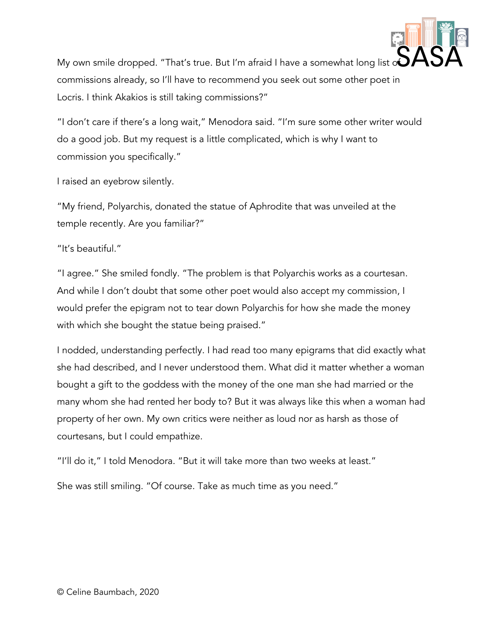

My own smile dropped. "That's true. But I'm afraid I have a somewhat long list  $\mathcal{S}\mathcal{A}$ commissions already, so I'll have to recommend you seek out some other poet in Locris. I think Akakios is still taking commissions?"

"I don't care if there's a long wait," Menodora said. "I'm sure some other writer would do a good job. But my request is a little complicated, which is why I want to commission you specifically."

I raised an eyebrow silently.

"My friend, Polyarchis, donated the statue of Aphrodite that was unveiled at the temple recently. Are you familiar?"

"It's beautiful."

"I agree." She smiled fondly. "The problem is that Polyarchis works as a courtesan. And while I don't doubt that some other poet would also accept my commission, I would prefer the epigram not to tear down Polyarchis for how she made the money with which she bought the statue being praised."

I nodded, understanding perfectly. I had read too many epigrams that did exactly what she had described, and I never understood them. What did it matter whether a woman bought a gift to the goddess with the money of the one man she had married or the many whom she had rented her body to? But it was always like this when a woman had property of her own. My own critics were neither as loud nor as harsh as those of courtesans, but I could empathize.

"I'll do it," I told Menodora. "But it will take more than two weeks at least."

She was still smiling. "Of course. Take as much time as you need."